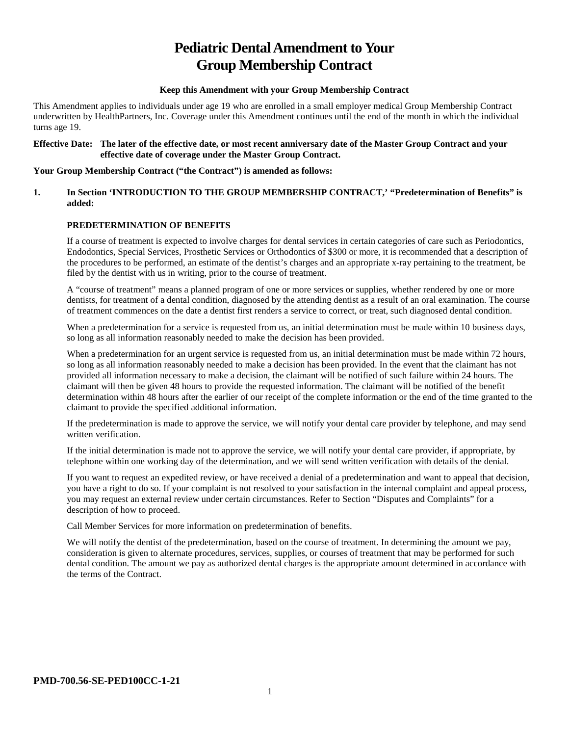# **Pediatric Dental Amendment to Your Group Membership Contract**

## **Keep this Amendment with your Group Membership Contract**

This Amendment applies to individuals under age 19 who are enrolled in a small employer medical Group Membership Contract underwritten by HealthPartners, Inc. Coverage under this Amendment continues until the end of the month in which the individual turns age 19.

#### **Effective Date: The later of the effective date, or most recent anniversary date of the Master Group Contract and your effective date of coverage under the Master Group Contract.**

## **Your Group Membership Contract ("the Contract") is amended as follows:**

## **1. In Section 'INTRODUCTION TO THE GROUP MEMBERSHIP CONTRACT,' "Predetermination of Benefits" is added:**

## **PREDETERMINATION OF BENEFITS**

If a course of treatment is expected to involve charges for dental services in certain categories of care such as Periodontics, Endodontics, Special Services, Prosthetic Services or Orthodontics of \$300 or more, it is recommended that a description of the procedures to be performed, an estimate of the dentist's charges and an appropriate x-ray pertaining to the treatment, be filed by the dentist with us in writing, prior to the course of treatment.

A "course of treatment" means a planned program of one or more services or supplies, whether rendered by one or more dentists, for treatment of a dental condition, diagnosed by the attending dentist as a result of an oral examination. The course of treatment commences on the date a dentist first renders a service to correct, or treat, such diagnosed dental condition.

When a predetermination for a service is requested from us, an initial determination must be made within 10 business days, so long as all information reasonably needed to make the decision has been provided.

When a predetermination for an urgent service is requested from us, an initial determination must be made within 72 hours, so long as all information reasonably needed to make a decision has been provided. In the event that the claimant has not provided all information necessary to make a decision, the claimant will be notified of such failure within 24 hours. The claimant will then be given 48 hours to provide the requested information. The claimant will be notified of the benefit determination within 48 hours after the earlier of our receipt of the complete information or the end of the time granted to the claimant to provide the specified additional information.

If the predetermination is made to approve the service, we will notify your dental care provider by telephone, and may send written verification.

If the initial determination is made not to approve the service, we will notify your dental care provider, if appropriate, by telephone within one working day of the determination, and we will send written verification with details of the denial.

If you want to request an expedited review, or have received a denial of a predetermination and want to appeal that decision, you have a right to do so. If your complaint is not resolved to your satisfaction in the internal complaint and appeal process, you may request an external review under certain circumstances. Refer to Section "Disputes and Complaints" for a description of how to proceed.

Call Member Services for more information on predetermination of benefits.

We will notify the dentist of the predetermination, based on the course of treatment. In determining the amount we pay, consideration is given to alternate procedures, services, supplies, or courses of treatment that may be performed for such dental condition. The amount we pay as authorized dental charges is the appropriate amount determined in accordance with the terms of the Contract.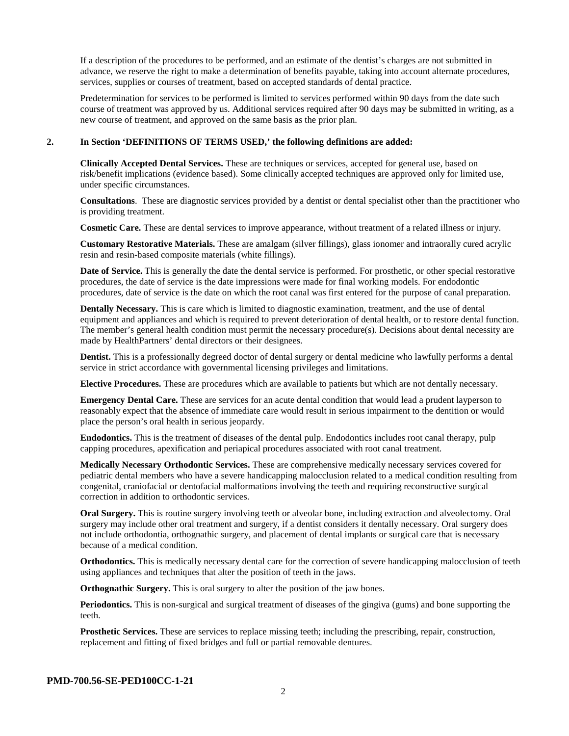If a description of the procedures to be performed, and an estimate of the dentist's charges are not submitted in advance, we reserve the right to make a determination of benefits payable, taking into account alternate procedures, services, supplies or courses of treatment, based on accepted standards of dental practice.

Predetermination for services to be performed is limited to services performed within 90 days from the date such course of treatment was approved by us. Additional services required after 90 days may be submitted in writing, as a new course of treatment, and approved on the same basis as the prior plan.

#### **2. In Section 'DEFINITIONS OF TERMS USED,' the following definitions are added:**

**Clinically Accepted Dental Services.** These are techniques or services, accepted for general use, based on risk/benefit implications (evidence based). Some clinically accepted techniques are approved only for limited use, under specific circumstances.

**Consultations**. These are diagnostic services provided by a dentist or dental specialist other than the practitioner who is providing treatment.

**Cosmetic Care.** These are dental services to improve appearance, without treatment of a related illness or injury.

**Customary Restorative Materials.** These are amalgam (silver fillings), glass ionomer and intraorally cured acrylic resin and resin-based composite materials (white fillings).

**Date of Service.** This is generally the date the dental service is performed. For prosthetic, or other special restorative procedures, the date of service is the date impressions were made for final working models. For endodontic procedures, date of service is the date on which the root canal was first entered for the purpose of canal preparation.

**Dentally Necessary.** This is care which is limited to diagnostic examination, treatment, and the use of dental equipment and appliances and which is required to prevent deterioration of dental health, or to restore dental function. The member's general health condition must permit the necessary procedure(s). Decisions about dental necessity are made by HealthPartners' dental directors or their designees.

**Dentist.** This is a professionally degreed doctor of dental surgery or dental medicine who lawfully performs a dental service in strict accordance with governmental licensing privileges and limitations.

**Elective Procedures.** These are procedures which are available to patients but which are not dentally necessary.

**Emergency Dental Care.** These are services for an acute dental condition that would lead a prudent layperson to reasonably expect that the absence of immediate care would result in serious impairment to the dentition or would place the person's oral health in serious jeopardy.

**Endodontics.** This is the treatment of diseases of the dental pulp. Endodontics includes root canal therapy, pulp capping procedures, apexification and periapical procedures associated with root canal treatment.

**Medically Necessary Orthodontic Services.** These are comprehensive medically necessary services covered for pediatric dental members who have a severe handicapping malocclusion related to a medical condition resulting from congenital, craniofacial or dentofacial malformations involving the teeth and requiring reconstructive surgical correction in addition to orthodontic services.

**Oral Surgery.** This is routine surgery involving teeth or alveolar bone, including extraction and alveolectomy. Oral surgery may include other oral treatment and surgery, if a dentist considers it dentally necessary. Oral surgery does not include orthodontia, orthognathic surgery, and placement of dental implants or surgical care that is necessary because of a medical condition.

**Orthodontics.** This is medically necessary dental care for the correction of severe handicapping malocclusion of teeth using appliances and techniques that alter the position of teeth in the jaws.

**Orthognathic Surgery.** This is oral surgery to alter the position of the jaw bones.

**Periodontics.** This is non-surgical and surgical treatment of diseases of the gingiva (gums) and bone supporting the teeth.

**Prosthetic Services.** These are services to replace missing teeth; including the prescribing, repair, construction, replacement and fitting of fixed bridges and full or partial removable dentures.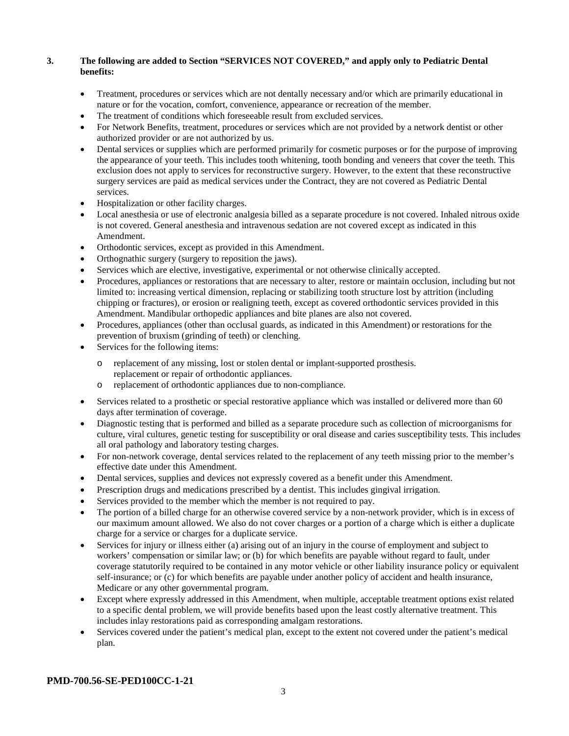## **3. The following are added to Section "SERVICES NOT COVERED," and apply only to Pediatric Dental benefits:**

- Treatment, procedures or services which are not dentally necessary and/or which are primarily educational in nature or for the vocation, comfort, convenience, appearance or recreation of the member.
- The treatment of conditions which foreseeable result from excluded services.
- For Network Benefits, treatment, procedures or services which are not provided by a network dentist or other authorized provider or are not authorized by us.
- Dental services or supplies which are performed primarily for cosmetic purposes or for the purpose of improving the appearance of your teeth. This includes tooth whitening, tooth bonding and veneers that cover the teeth. This exclusion does not apply to services for reconstructive surgery. However, to the extent that these reconstructive surgery services are paid as medical services under the Contract, they are not covered as Pediatric Dental services.
- Hospitalization or other facility charges.
- Local anesthesia or use of electronic analgesia billed as a separate procedure is not covered. Inhaled nitrous oxide is not covered. General anesthesia and intravenous sedation are not covered except as indicated in this Amendment.
- Orthodontic services, except as provided in this Amendment.
- Orthognathic surgery (surgery to reposition the jaws).
- Services which are elective, investigative, experimental or not otherwise clinically accepted.
- Procedures, appliances or restorations that are necessary to alter, restore or maintain occlusion, including but not limited to: increasing vertical dimension, replacing or stabilizing tooth structure lost by attrition (including chipping or fractures), or erosion or realigning teeth, except as covered orthodontic services provided in this Amendment. Mandibular orthopedic appliances and bite planes are also not covered.
- Procedures, appliances (other than occlusal guards, as indicated in this Amendment) or restorations for the prevention of bruxism (grinding of teeth) or clenching.
- Services for the following items:
	- o replacement of any missing, lost or stolen dental or implant-supported prosthesis. replacement or repair of orthodontic appliances.
	- o replacement of orthodontic appliances due to non-compliance.
- Services related to a prosthetic or special restorative appliance which was installed or delivered more than 60 days after termination of coverage.
- Diagnostic testing that is performed and billed as a separate procedure such as collection of microorganisms for culture, viral cultures, genetic testing for susceptibility or oral disease and caries susceptibility tests. This includes all oral pathology and laboratory testing charges.
- For non-network coverage, dental services related to the replacement of any teeth missing prior to the member's effective date under this Amendment.
- Dental services, supplies and devices not expressly covered as a benefit under this Amendment.
- Prescription drugs and medications prescribed by a dentist. This includes gingival irrigation.
- Services provided to the member which the member is not required to pay.
- The portion of a billed charge for an otherwise covered service by a non-network provider, which is in excess of our maximum amount allowed. We also do not cover charges or a portion of a charge which is either a duplicate charge for a service or charges for a duplicate service.
- Services for injury or illness either (a) arising out of an injury in the course of employment and subject to workers' compensation or similar law; or (b) for which benefits are payable without regard to fault, under coverage statutorily required to be contained in any motor vehicle or other liability insurance policy or equivalent self-insurance; or (c) for which benefits are payable under another policy of accident and health insurance, Medicare or any other governmental program.
- Except where expressly addressed in this Amendment, when multiple, acceptable treatment options exist related to a specific dental problem, we will provide benefits based upon the least costly alternative treatment. This includes inlay restorations paid as corresponding amalgam restorations.
- Services covered under the patient's medical plan, except to the extent not covered under the patient's medical plan.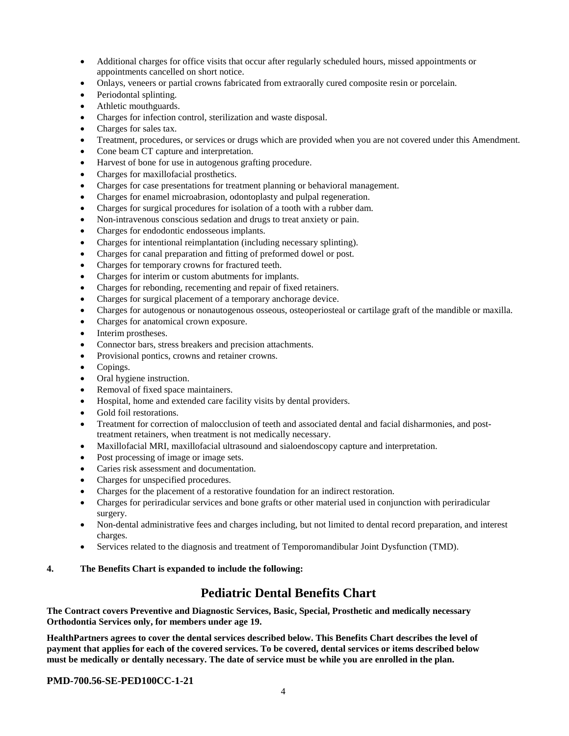- Additional charges for office visits that occur after regularly scheduled hours, missed appointments or appointments cancelled on short notice.
- Onlays, veneers or partial crowns fabricated from extraorally cured composite resin or porcelain.
- Periodontal splinting.
- Athletic mouthguards.
- Charges for infection control, sterilization and waste disposal.
- Charges for sales tax.
- Treatment, procedures, or services or drugs which are provided when you are not covered under this Amendment.
- Cone beam CT capture and interpretation.
- Harvest of bone for use in autogenous grafting procedure.
- Charges for maxillofacial prosthetics.
- Charges for case presentations for treatment planning or behavioral management.
- Charges for enamel microabrasion, odontoplasty and pulpal regeneration.
- Charges for surgical procedures for isolation of a tooth with a rubber dam.
- Non-intravenous conscious sedation and drugs to treat anxiety or pain.
- Charges for endodontic endosseous implants.
- Charges for intentional reimplantation (including necessary splinting).
- Charges for canal preparation and fitting of preformed dowel or post.
- Charges for temporary crowns for fractured teeth.
- Charges for interim or custom abutments for implants.
- Charges for rebonding, recementing and repair of fixed retainers.
- Charges for surgical placement of a temporary anchorage device.
- Charges for autogenous or nonautogenous osseous, osteoperiosteal or cartilage graft of the mandible or maxilla.
- Charges for anatomical crown exposure.
- Interim prostheses.
- Connector bars, stress breakers and precision attachments.
- Provisional pontics, crowns and retainer crowns.
- Copings.
- Oral hygiene instruction.
- Removal of fixed space maintainers.
- Hospital, home and extended care facility visits by dental providers.
- Gold foil restorations.
- Treatment for correction of malocclusion of teeth and associated dental and facial disharmonies, and posttreatment retainers, when treatment is not medically necessary.
- Maxillofacial MRI, maxillofacial ultrasound and sialoendoscopy capture and interpretation.
- Post processing of image or image sets.
- Caries risk assessment and documentation.
- Charges for unspecified procedures.
- Charges for the placement of a restorative foundation for an indirect restoration.
- Charges for periradicular services and bone grafts or other material used in conjunction with periradicular surgery.
- Non-dental administrative fees and charges including, but not limited to dental record preparation, and interest charges.
- Services related to the diagnosis and treatment of Temporomandibular Joint Dysfunction (TMD).

## **4. The Benefits Chart is expanded to include the following:**

## **Pediatric Dental Benefits Chart**

**The Contract covers Preventive and Diagnostic Services, Basic, Special, Prosthetic and medically necessary Orthodontia Services only, for members under age 19.**

**HealthPartners agrees to cover the dental services described below. This Benefits Chart describes the level of payment that applies for each of the covered services. To be covered, dental services or items described below must be medically or dentally necessary. The date of service must be while you are enrolled in the plan.**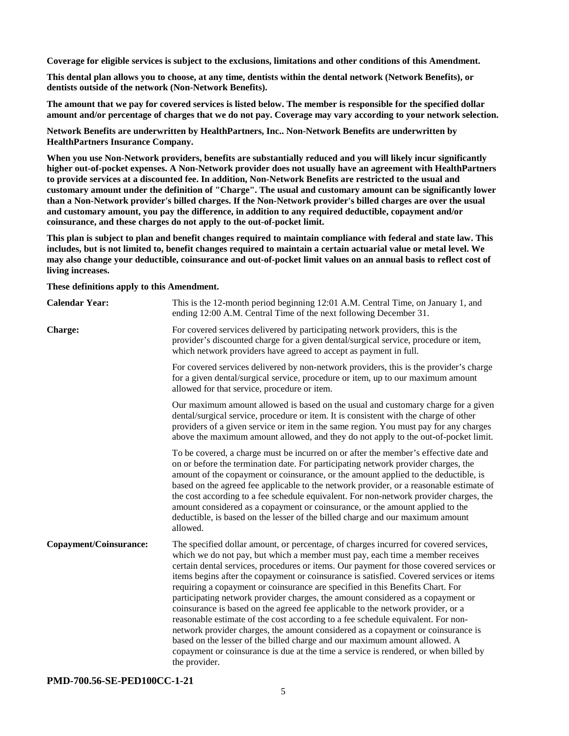**Coverage for eligible services is subject to the exclusions, limitations and other conditions of this Amendment.**

**This dental plan allows you to choose, at any time, dentists within the dental network (Network Benefits), or dentists outside of the network (Non-Network Benefits).**

**The amount that we pay for covered services is listed below. The member is responsible for the specified dollar amount and/or percentage of charges that we do not pay. Coverage may vary according to your network selection.**

**Network Benefits are underwritten by HealthPartners, Inc.. Non-Network Benefits are underwritten by HealthPartners Insurance Company.**

**When you use Non-Network providers, benefits are substantially reduced and you will likely incur significantly higher out-of-pocket expenses. A Non-Network provider does not usually have an agreement with HealthPartners to provide services at a discounted fee. In addition, Non-Network Benefits are restricted to the usual and customary amount under the definition of "Charge". The usual and customary amount can be significantly lower than a Non-Network provider's billed charges. If the Non-Network provider's billed charges are over the usual and customary amount, you pay the difference, in addition to any required deductible, copayment and/or coinsurance, and these charges do not apply to the out-of-pocket limit.**

**This plan is subject to plan and benefit changes required to maintain compliance with federal and state law. This includes, but is not limited to, benefit changes required to maintain a certain actuarial value or metal level. We may also change your deductible, coinsurance and out-of-pocket limit values on an annual basis to reflect cost of living increases.**

**These definitions apply to this Amendment.**

| <b>Calendar Year:</b>  | This is the 12-month period beginning 12:01 A.M. Central Time, on January 1, and<br>ending 12:00 A.M. Central Time of the next following December 31.                                                                                                                                                                                                                                                                                                                                                                                                                                                                                                                                                                                                                                                                                                                                                                                                                               |
|------------------------|-------------------------------------------------------------------------------------------------------------------------------------------------------------------------------------------------------------------------------------------------------------------------------------------------------------------------------------------------------------------------------------------------------------------------------------------------------------------------------------------------------------------------------------------------------------------------------------------------------------------------------------------------------------------------------------------------------------------------------------------------------------------------------------------------------------------------------------------------------------------------------------------------------------------------------------------------------------------------------------|
| Charge:                | For covered services delivered by participating network providers, this is the<br>provider's discounted charge for a given dental/surgical service, procedure or item,<br>which network providers have agreed to accept as payment in full.                                                                                                                                                                                                                                                                                                                                                                                                                                                                                                                                                                                                                                                                                                                                         |
|                        | For covered services delivered by non-network providers, this is the provider's charge<br>for a given dental/surgical service, procedure or item, up to our maximum amount<br>allowed for that service, procedure or item.                                                                                                                                                                                                                                                                                                                                                                                                                                                                                                                                                                                                                                                                                                                                                          |
|                        | Our maximum amount allowed is based on the usual and customary charge for a given<br>dental/surgical service, procedure or item. It is consistent with the charge of other<br>providers of a given service or item in the same region. You must pay for any charges<br>above the maximum amount allowed, and they do not apply to the out-of-pocket limit.                                                                                                                                                                                                                                                                                                                                                                                                                                                                                                                                                                                                                          |
|                        | To be covered, a charge must be incurred on or after the member's effective date and<br>on or before the termination date. For participating network provider charges, the<br>amount of the copayment or coinsurance, or the amount applied to the deductible, is<br>based on the agreed fee applicable to the network provider, or a reasonable estimate of<br>the cost according to a fee schedule equivalent. For non-network provider charges, the<br>amount considered as a copayment or coinsurance, or the amount applied to the<br>deductible, is based on the lesser of the billed charge and our maximum amount<br>allowed.                                                                                                                                                                                                                                                                                                                                               |
| Copayment/Coinsurance: | The specified dollar amount, or percentage, of charges incurred for covered services,<br>which we do not pay, but which a member must pay, each time a member receives<br>certain dental services, procedures or items. Our payment for those covered services or<br>items begins after the copayment or coinsurance is satisfied. Covered services or items<br>requiring a copayment or coinsurance are specified in this Benefits Chart. For<br>participating network provider charges, the amount considered as a copayment or<br>coinsurance is based on the agreed fee applicable to the network provider, or a<br>reasonable estimate of the cost according to a fee schedule equivalent. For non-<br>network provider charges, the amount considered as a copayment or coinsurance is<br>based on the lesser of the billed charge and our maximum amount allowed. A<br>copayment or coinsurance is due at the time a service is rendered, or when billed by<br>the provider. |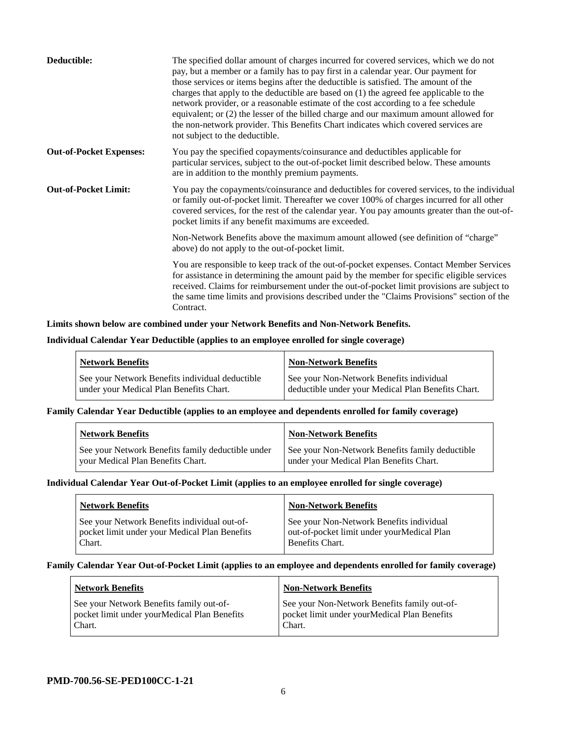| Deductible:                    | The specified dollar amount of charges incurred for covered services, which we do not<br>pay, but a member or a family has to pay first in a calendar year. Our payment for<br>those services or items begins after the deductible is satisfied. The amount of the<br>charges that apply to the deductible are based on $(1)$ the agreed fee applicable to the<br>network provider, or a reasonable estimate of the cost according to a fee schedule<br>equivalent; or (2) the lesser of the billed charge and our maximum amount allowed for<br>the non-network provider. This Benefits Chart indicates which covered services are<br>not subject to the deductible. |
|--------------------------------|-----------------------------------------------------------------------------------------------------------------------------------------------------------------------------------------------------------------------------------------------------------------------------------------------------------------------------------------------------------------------------------------------------------------------------------------------------------------------------------------------------------------------------------------------------------------------------------------------------------------------------------------------------------------------|
| <b>Out-of-Pocket Expenses:</b> | You pay the specified copayments/coinsurance and deductibles applicable for<br>particular services, subject to the out-of-pocket limit described below. These amounts<br>are in addition to the monthly premium payments.                                                                                                                                                                                                                                                                                                                                                                                                                                             |
| <b>Out-of-Pocket Limit:</b>    | You pay the copayments/coinsurance and deductibles for covered services, to the individual<br>or family out-of-pocket limit. Thereafter we cover 100% of charges incurred for all other<br>covered services, for the rest of the calendar year. You pay amounts greater than the out-of-<br>pocket limits if any benefit maximums are exceeded.                                                                                                                                                                                                                                                                                                                       |
|                                | Non-Network Benefits above the maximum amount allowed (see definition of "charge"<br>above) do not apply to the out-of-pocket limit.                                                                                                                                                                                                                                                                                                                                                                                                                                                                                                                                  |
|                                | You are responsible to keep track of the out-of-pocket expenses. Contact Member Services<br>for assistance in determining the amount paid by the member for specific eligible services<br>received. Claims for reimbursement under the out-of-pocket limit provisions are subject to<br>the same time limits and provisions described under the "Claims Provisions" section of the<br>Contract.                                                                                                                                                                                                                                                                       |

#### **Limits shown below are combined under your Network Benefits and Non-Network Benefits.**

#### **Individual Calendar Year Deductible (applies to an employee enrolled for single coverage)**

| <b>Network Benefits</b>                         | <b>Non-Network Benefits</b>                        |
|-------------------------------------------------|----------------------------------------------------|
| See your Network Benefits individual deductible | See your Non-Network Benefits individual           |
| under your Medical Plan Benefits Chart.         | deductible under your Medical Plan Benefits Chart. |

## **Family Calendar Year Deductible (applies to an employee and dependents enrolled for family coverage)**

| <b>Network Benefits</b>                           | <b>Non-Network Benefits</b>                     |
|---------------------------------------------------|-------------------------------------------------|
| See your Network Benefits family deductible under | See your Non-Network Benefits family deductible |
| vour Medical Plan Benefits Chart.                 | under your Medical Plan Benefits Chart.         |

## **Individual Calendar Year Out-of-Pocket Limit (applies to an employee enrolled for single coverage)**

| <b>Network Benefits</b>                       | <b>Non-Network Benefits</b>                 |
|-----------------------------------------------|---------------------------------------------|
| See your Network Benefits individual out-of-  | See your Non-Network Benefits individual    |
| pocket limit under your Medical Plan Benefits | out-of-pocket limit under your Medical Plan |
| Chart.                                        | Benefits Chart.                             |

#### **Family Calendar Year Out-of-Pocket Limit (applies to an employee and dependents enrolled for family coverage)**

| <b>Network Benefits</b>                                                                            | <b>Non-Network Benefits</b>                                                                            |
|----------------------------------------------------------------------------------------------------|--------------------------------------------------------------------------------------------------------|
| See your Network Benefits family out-of-<br>pocket limit under yourMedical Plan Benefits<br>Chart. | See your Non-Network Benefits family out-of-<br>pocket limit under yourMedical Plan Benefits<br>Chart. |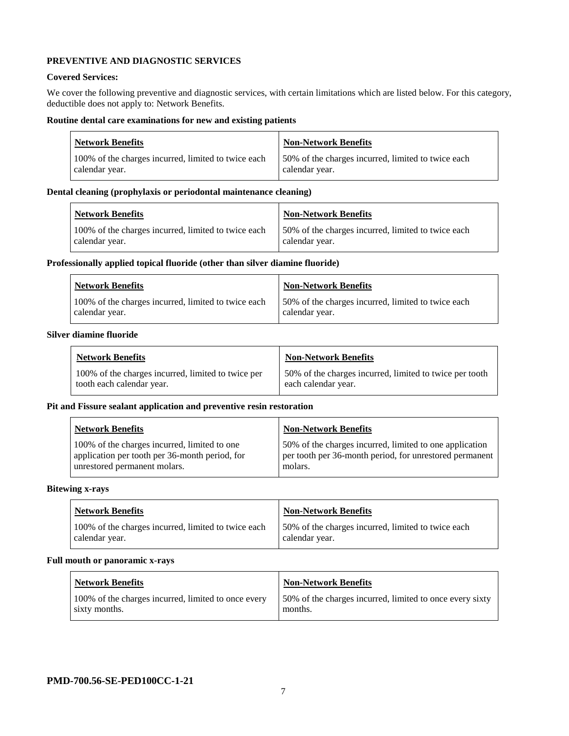## **PREVENTIVE AND DIAGNOSTIC SERVICES**

#### **Covered Services:**

We cover the following preventive and diagnostic services, with certain limitations which are listed below. For this category, deductible does not apply to: Network Benefits.

## **Routine dental care examinations for new and existing patients**

| <b>Network Benefits</b>                             | <b>Non-Network Benefits</b>                        |
|-----------------------------------------------------|----------------------------------------------------|
| 100% of the charges incurred, limited to twice each | 50% of the charges incurred, limited to twice each |
| calendar year.                                      | calendar year.                                     |

## **Dental cleaning (prophylaxis or periodontal maintenance cleaning)**

| <b>Network Benefits</b>                             | <b>Non-Network Benefits</b>                        |
|-----------------------------------------------------|----------------------------------------------------|
| 100% of the charges incurred, limited to twice each | 50% of the charges incurred, limited to twice each |
| calendar year.                                      | calendar year.                                     |

## **Professionally applied topical fluoride (other than silver diamine fluoride)**

| <b>Network Benefits</b>                                               | Non-Network Benefits                                                  |
|-----------------------------------------------------------------------|-----------------------------------------------------------------------|
| 100% of the charges incurred, limited to twice each<br>calendar year. | 150% of the charges incurred, limited to twice each<br>calendar vear. |

#### **Silver diamine fluoride**

| <b>Network Benefits</b>                                                         | <b>Non-Network Benefits</b>                                                    |
|---------------------------------------------------------------------------------|--------------------------------------------------------------------------------|
| 100% of the charges incurred, limited to twice per<br>tooth each calendar year. | 50% of the charges incurred, limited to twice per tooth<br>each calendar year. |

## **Pit and Fissure sealant application and preventive resin restoration**

| <b>Network Benefits</b>                                                                                                        | <b>Non-Network Benefits</b>                                                                                                   |
|--------------------------------------------------------------------------------------------------------------------------------|-------------------------------------------------------------------------------------------------------------------------------|
| 100% of the charges incurred, limited to one<br>application per tooth per 36-month period, for<br>unrestored permanent molars. | 50% of the charges incurred, limited to one application<br>per tooth per 36-month period, for unrestored permanent<br>molars. |

#### **Bitewing x-rays**

| <b>Network Benefits</b>                                               | <b>Non-Network Benefits</b>                                          |
|-----------------------------------------------------------------------|----------------------------------------------------------------------|
| 100% of the charges incurred, limited to twice each<br>calendar year. | 50% of the charges incurred, limited to twice each<br>calendar year. |

## **Full mouth or panoramic x-rays**

| <b>Network Benefits</b>                                              | <b>Non-Network Benefits</b>                                          |
|----------------------------------------------------------------------|----------------------------------------------------------------------|
| 100% of the charges incurred, limited to once every<br>sixty months. | 150% of the charges incurred, limited to once every sixty<br>months. |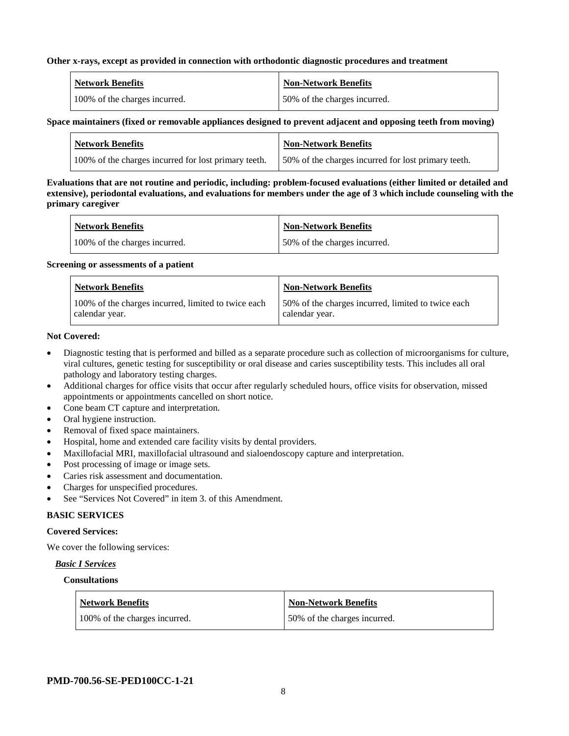#### **Other x-rays, except as provided in connection with orthodontic diagnostic procedures and treatment**

| Network Benefits              | <b>Non-Network Benefits</b>  |
|-------------------------------|------------------------------|
| 100% of the charges incurred. | 50% of the charges incurred. |

## **Space maintainers (fixed or removable appliances designed to prevent adjacent and opposing teeth from moving)**

| <b>Network Benefits</b>                              | <b>Non-Network Benefits</b>                         |
|------------------------------------------------------|-----------------------------------------------------|
| 100% of the charges incurred for lost primary teeth. | 50% of the charges incurred for lost primary teeth. |

**Evaluations that are not routine and periodic, including: problem-focused evaluations (either limited or detailed and extensive), periodontal evaluations, and evaluations for members under the age of 3 which include counseling with the primary caregiver**

| Network Benefits              | Non-Network Benefits          |
|-------------------------------|-------------------------------|
| 100% of the charges incurred. | 150% of the charges incurred. |

#### **Screening or assessments of a patient**

| <b>Network Benefits</b>                             | Non-Network Benefits                                |
|-----------------------------------------------------|-----------------------------------------------------|
| 100% of the charges incurred, limited to twice each | 150% of the charges incurred, limited to twice each |
| calendar year.                                      | calendar year.                                      |

#### **Not Covered:**

- Diagnostic testing that is performed and billed as a separate procedure such as collection of microorganisms for culture, viral cultures, genetic testing for susceptibility or oral disease and caries susceptibility tests. This includes all oral pathology and laboratory testing charges.
- Additional charges for office visits that occur after regularly scheduled hours, office visits for observation, missed appointments or appointments cancelled on short notice.
- Cone beam CT capture and interpretation.
- Oral hygiene instruction.
- Removal of fixed space maintainers.
- Hospital, home and extended care facility visits by dental providers.
- Maxillofacial MRI, maxillofacial ultrasound and sialoendoscopy capture and interpretation.
- Post processing of image or image sets.
- Caries risk assessment and documentation.
- Charges for unspecified procedures.
- See "Services Not Covered" in item 3. of this Amendment.

## **BASIC SERVICES**

## **Covered Services:**

We cover the following services:

## *Basic I Services*

## **Consultations**

| <b>Network Benefits</b>       | <b>Non-Network Benefits</b>   |
|-------------------------------|-------------------------------|
| 100% of the charges incurred. | 150% of the charges incurred. |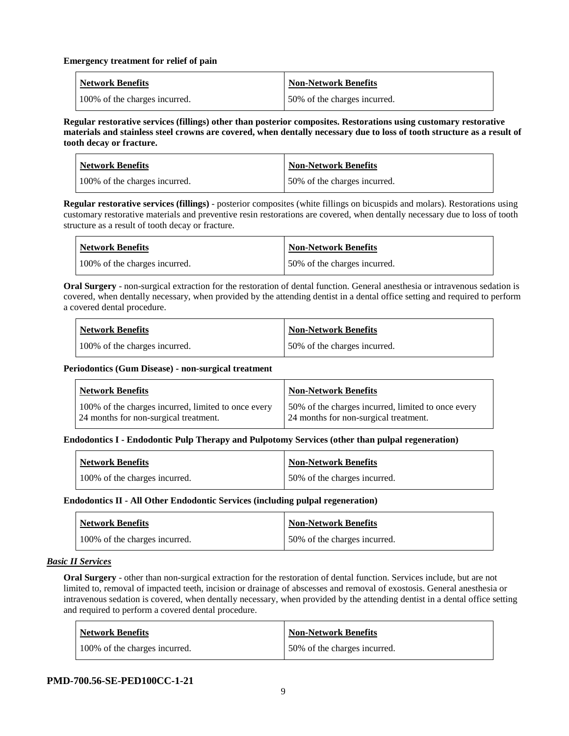#### **Emergency treatment for relief of pain**

| <b>Network Benefits</b>       | <b>Non-Network Benefits</b>  |
|-------------------------------|------------------------------|
| 100% of the charges incurred. | 50% of the charges incurred. |

**Regular restorative services (fillings) other than posterior composites. Restorations using customary restorative materials and stainless steel crowns are covered, when dentally necessary due to loss of tooth structure as a result of tooth decay or fracture.**

| <b>Network Benefits</b>       | <b>Non-Network Benefits</b>  |
|-------------------------------|------------------------------|
| 100% of the charges incurred. | 50% of the charges incurred. |

**Regular restorative services (fillings)** - posterior composites (white fillings on bicuspids and molars). Restorations using customary restorative materials and preventive resin restorations are covered, when dentally necessary due to loss of tooth structure as a result of tooth decay or fracture.

| Network Benefits              | <b>Non-Network Benefits</b>  |
|-------------------------------|------------------------------|
| 100% of the charges incurred. | 50% of the charges incurred. |

**Oral Surgery** - non-surgical extraction for the restoration of dental function. General anesthesia or intravenous sedation is covered, when dentally necessary, when provided by the attending dentist in a dental office setting and required to perform a covered dental procedure.

| <b>Network Benefits</b>       | <b>Non-Network Benefits</b>  |
|-------------------------------|------------------------------|
| 100% of the charges incurred. | 50% of the charges incurred. |

## **Periodontics (Gum Disease) - non-surgical treatment**

| <b>Network Benefits</b>                                                                      | <b>Non-Network Benefits</b>                                                                 |
|----------------------------------------------------------------------------------------------|---------------------------------------------------------------------------------------------|
| 100% of the charges incurred, limited to once every<br>24 months for non-surgical treatment. | 50% of the charges incurred, limited to once every<br>24 months for non-surgical treatment. |

## **Endodontics I - Endodontic Pulp Therapy and Pulpotomy Services (other than pulpal regeneration)**

| Network Benefits              | <b>Non-Network Benefits</b>  |
|-------------------------------|------------------------------|
| 100% of the charges incurred. | 50% of the charges incurred. |

## **Endodontics II - All Other Endodontic Services (including pulpal regeneration)**

| Network Benefits              | Non-Network Benefits         |
|-------------------------------|------------------------------|
| 100% of the charges incurred. | 50% of the charges incurred. |

## *Basic II Services*

**Oral Surgery** - other than non-surgical extraction for the restoration of dental function. Services include, but are not limited to, removal of impacted teeth, incision or drainage of abscesses and removal of exostosis. General anesthesia or intravenous sedation is covered, when dentally necessary, when provided by the attending dentist in a dental office setting and required to perform a covered dental procedure.

| <b>Network Benefits</b>       | <b>Non-Network Benefits</b>  |
|-------------------------------|------------------------------|
| 100% of the charges incurred. | 50% of the charges incurred. |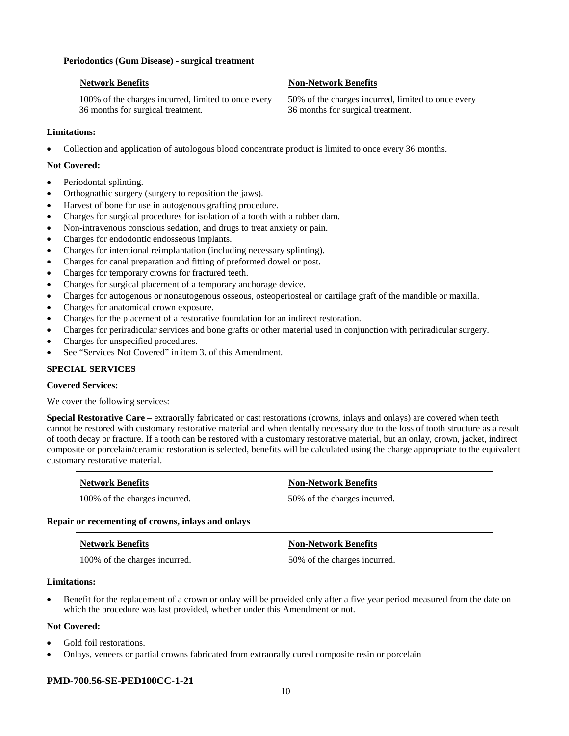#### **Periodontics (Gum Disease) - surgical treatment**

| <b>Network Benefits</b>                             | <b>Non-Network Benefits</b>                        |
|-----------------------------------------------------|----------------------------------------------------|
| 100% of the charges incurred, limited to once every | 50% of the charges incurred, limited to once every |
| 36 months for surgical treatment.                   | 36 months for surgical treatment.                  |

#### **Limitations:**

• Collection and application of autologous blood concentrate product is limited to once every 36 months.

#### **Not Covered:**

- Periodontal splinting.
- Orthognathic surgery (surgery to reposition the jaws).
- Harvest of bone for use in autogenous grafting procedure.
- Charges for surgical procedures for isolation of a tooth with a rubber dam.
- Non-intravenous conscious sedation, and drugs to treat anxiety or pain.
- Charges for endodontic endosseous implants.
- Charges for intentional reimplantation (including necessary splinting).
- Charges for canal preparation and fitting of preformed dowel or post.
- Charges for temporary crowns for fractured teeth.
- Charges for surgical placement of a temporary anchorage device.
- Charges for autogenous or nonautogenous osseous, osteoperiosteal or cartilage graft of the mandible or maxilla.
- Charges for anatomical crown exposure.
- Charges for the placement of a restorative foundation for an indirect restoration.
- Charges for periradicular services and bone grafts or other material used in conjunction with periradicular surgery.
- Charges for unspecified procedures.
- See "Services Not Covered" in item 3, of this Amendment.

#### **SPECIAL SERVICES**

#### **Covered Services:**

We cover the following services:

**Special Restorative Care** – extraorally fabricated or cast restorations (crowns, inlays and onlays) are covered when teeth cannot be restored with customary restorative material and when dentally necessary due to the loss of tooth structure as a result of tooth decay or fracture. If a tooth can be restored with a customary restorative material, but an onlay, crown, jacket, indirect composite or porcelain/ceramic restoration is selected, benefits will be calculated using the charge appropriate to the equivalent customary restorative material.

| <b>Network Benefits</b>       | <b>Non-Network Benefits</b>  |
|-------------------------------|------------------------------|
| 100% of the charges incurred. | 50% of the charges incurred. |

#### **Repair or recementing of crowns, inlays and onlays**

| <b>Network Benefits</b>       | <b>Non-Network Benefits</b>  |
|-------------------------------|------------------------------|
| 100% of the charges incurred. | 50% of the charges incurred. |

**Limitations:**

• Benefit for the replacement of a crown or onlay will be provided only after a five year period measured from the date on which the procedure was last provided, whether under this Amendment or not.

#### **Not Covered:**

- Gold foil restorations.
- Onlays, veneers or partial crowns fabricated from extraorally cured composite resin or porcelain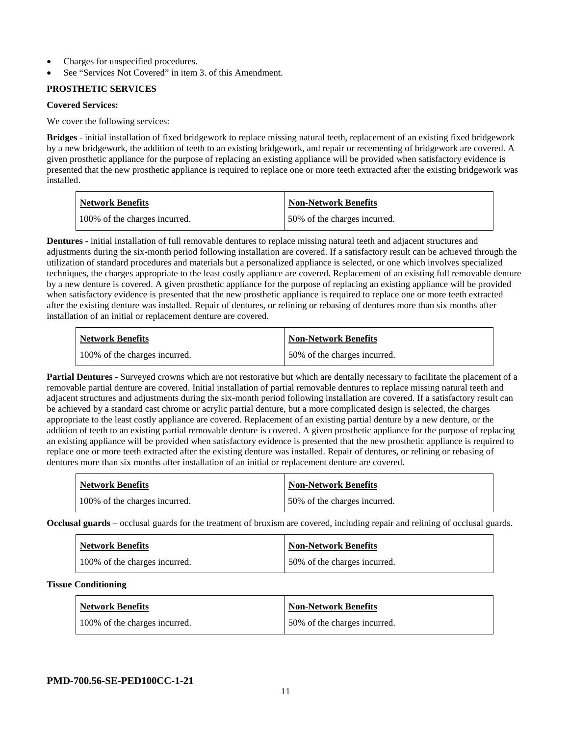- Charges for unspecified procedures.
- See "Services Not Covered" in item 3. of this Amendment.

## **PROSTHETIC SERVICES**

## **Covered Services:**

We cover the following services:

**Bridges** - initial installation of fixed bridgework to replace missing natural teeth, replacement of an existing fixed bridgework by a new bridgework, the addition of teeth to an existing bridgework, and repair or recementing of bridgework are covered. A given prosthetic appliance for the purpose of replacing an existing appliance will be provided when satisfactory evidence is presented that the new prosthetic appliance is required to replace one or more teeth extracted after the existing bridgework was installed.

| <b>Network Benefits</b>       | <b>Non-Network Benefits</b>   |
|-------------------------------|-------------------------------|
| 100% of the charges incurred. | 150% of the charges incurred. |

**Dentures -** initial installation of full removable dentures to replace missing natural teeth and adjacent structures and adjustments during the six-month period following installation are covered. If a satisfactory result can be achieved through the utilization of standard procedures and materials but a personalized appliance is selected, or one which involves specialized techniques, the charges appropriate to the least costly appliance are covered. Replacement of an existing full removable denture by a new denture is covered. A given prosthetic appliance for the purpose of replacing an existing appliance will be provided when satisfactory evidence is presented that the new prosthetic appliance is required to replace one or more teeth extracted after the existing denture was installed. Repair of dentures, or relining or rebasing of dentures more than six months after installation of an initial or replacement denture are covered.

| <b>Network Benefits</b>       | <b>Non-Network Benefits</b>  |
|-------------------------------|------------------------------|
| 100% of the charges incurred. | 50% of the charges incurred. |

**Partial Dentures** - Surveyed crowns which are not restorative but which are dentally necessary to facilitate the placement of a removable partial denture are covered. Initial installation of partial removable dentures to replace missing natural teeth and adjacent structures and adjustments during the six-month period following installation are covered. If a satisfactory result can be achieved by a standard cast chrome or acrylic partial denture, but a more complicated design is selected, the charges appropriate to the least costly appliance are covered. Replacement of an existing partial denture by a new denture, or the addition of teeth to an existing partial removable denture is covered. A given prosthetic appliance for the purpose of replacing an existing appliance will be provided when satisfactory evidence is presented that the new prosthetic appliance is required to replace one or more teeth extracted after the existing denture was installed. Repair of dentures, or relining or rebasing of dentures more than six months after installation of an initial or replacement denture are covered.

| <b>Network Benefits</b>       | <b>Non-Network Benefits</b>  |
|-------------------------------|------------------------------|
| 100% of the charges incurred. | 50% of the charges incurred. |

**Occlusal guards** – occlusal guards for the treatment of bruxism are covered, including repair and relining of occlusal guards.

| <b>Network Benefits</b>       | <b>Non-Network Benefits</b>  |
|-------------------------------|------------------------------|
| 100% of the charges incurred. | 50% of the charges incurred. |

## **Tissue Conditioning**

| <b>Network Benefits</b>       | <b>Non-Network Benefits</b>  |
|-------------------------------|------------------------------|
| 100% of the charges incurred. | 50% of the charges incurred. |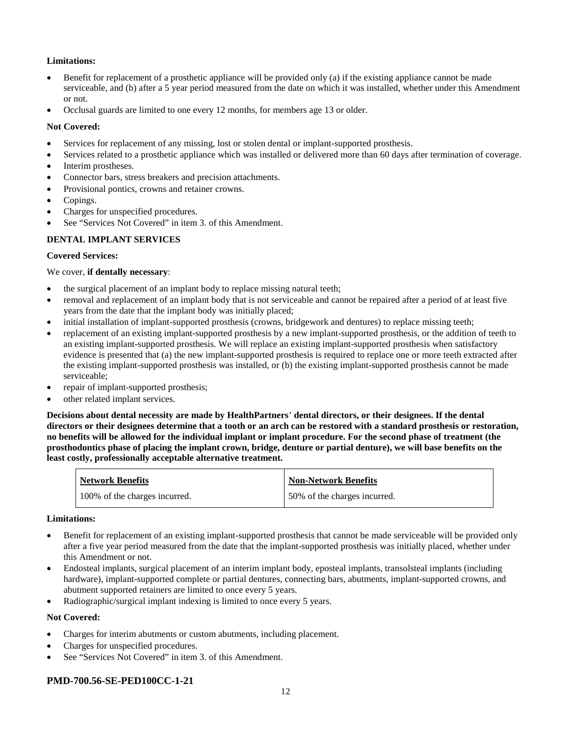## **Limitations:**

- Benefit for replacement of a prosthetic appliance will be provided only (a) if the existing appliance cannot be made serviceable, and (b) after a 5 year period measured from the date on which it was installed, whether under this Amendment or not.
- Occlusal guards are limited to one every 12 months, for members age 13 or older.

## **Not Covered:**

- Services for replacement of any missing, lost or stolen dental or implant-supported prosthesis.
- Services related to a prosthetic appliance which was installed or delivered more than 60 days after termination of coverage.
- Interim prostheses.
- Connector bars, stress breakers and precision attachments.
- Provisional pontics, crowns and retainer crowns.
- Copings.
- Charges for unspecified procedures.
- See "Services Not Covered" in item 3. of this Amendment.

## **DENTAL IMPLANT SERVICES**

## **Covered Services:**

We cover, **if dentally necessary**:

- the surgical placement of an implant body to replace missing natural teeth;
- removal and replacement of an implant body that is not serviceable and cannot be repaired after a period of at least five years from the date that the implant body was initially placed;
- initial installation of implant-supported prosthesis (crowns, bridgework and dentures) to replace missing teeth;
- replacement of an existing implant-supported prosthesis by a new implant-supported prosthesis, or the addition of teeth to an existing implant-supported prosthesis. We will replace an existing implant-supported prosthesis when satisfactory evidence is presented that (a) the new implant-supported prosthesis is required to replace one or more teeth extracted after the existing implant-supported prosthesis was installed, or (b) the existing implant-supported prosthesis cannot be made serviceable;
- repair of implant-supported prosthesis;
- other related implant services.

**Decisions about dental necessity are made by HealthPartners**' **dental directors, or their designees. If the dental directors or their designees determine that a tooth or an arch can be restored with a standard prosthesis or restoration, no benefits will be allowed for the individual implant or implant procedure. For the second phase of treatment (the prosthodontics phase of placing the implant crown, bridge, denture or partial denture), we will base benefits on the least costly, professionally acceptable alternative treatment.**

| <b>Network Benefits</b>       | <b>Non-Network Benefits</b>  |
|-------------------------------|------------------------------|
| 100% of the charges incurred. | 50% of the charges incurred. |

## **Limitations:**

- Benefit for replacement of an existing implant-supported prosthesis that cannot be made serviceable will be provided only after a five year period measured from the date that the implant-supported prosthesis was initially placed, whether under this Amendment or not.
- Endosteal implants, surgical placement of an interim implant body, eposteal implants, transolsteal implants (including hardware), implant-supported complete or partial dentures, connecting bars, abutments, implant-supported crowns, and abutment supported retainers are limited to once every 5 years.
- Radiographic/surgical implant indexing is limited to once every 5 years.

## **Not Covered:**

- Charges for interim abutments or custom abutments, including placement.
- Charges for unspecified procedures.
- See "Services Not Covered" in item 3. of this Amendment.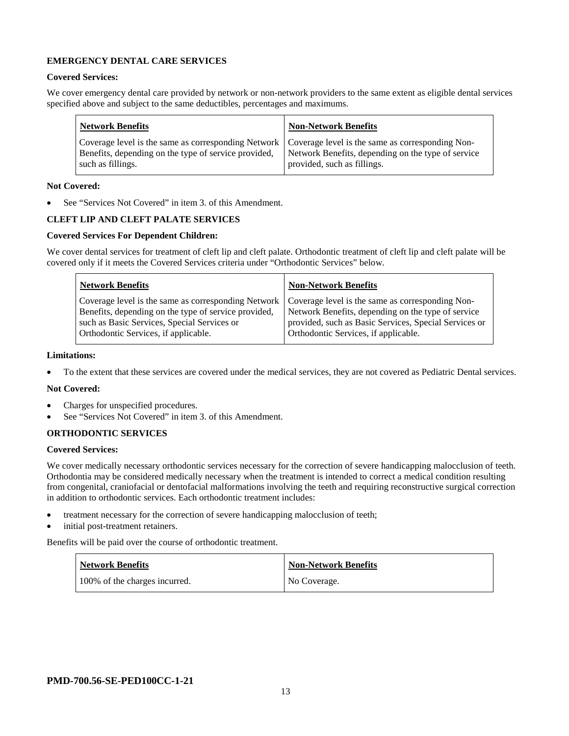## **EMERGENCY DENTAL CARE SERVICES**

## **Covered Services:**

We cover emergency dental care provided by network or non-network providers to the same extent as eligible dental services specified above and subject to the same deductibles, percentages and maximums.

| <b>Network Benefits</b>                                                                                                                                                             | <b>Non-Network Benefits</b>                                                       |
|-------------------------------------------------------------------------------------------------------------------------------------------------------------------------------------|-----------------------------------------------------------------------------------|
| Coverage level is the same as corresponding Network   Coverage level is the same as corresponding Non-<br>Benefits, depending on the type of service provided,<br>such as fillings. | Network Benefits, depending on the type of service<br>provided, such as fillings. |

#### **Not Covered:**

See "Services Not Covered" in item 3. of this Amendment.

## **CLEFT LIP AND CLEFT PALATE SERVICES**

## **Covered Services For Dependent Children:**

We cover dental services for treatment of cleft lip and cleft palate. Orthodontic treatment of cleft lip and cleft palate will be covered only if it meets the Covered Services criteria under "Orthodontic Services" below.

| <b>Network Benefits</b>                              | <b>Non-Network Benefits</b>                           |
|------------------------------------------------------|-------------------------------------------------------|
| Coverage level is the same as corresponding Network  | Coverage level is the same as corresponding Non-      |
| Benefits, depending on the type of service provided, | Network Benefits, depending on the type of service    |
| such as Basic Services, Special Services or          | provided, such as Basic Services, Special Services or |
| Orthodontic Services, if applicable.                 | Orthodontic Services, if applicable.                  |

#### **Limitations:**

• To the extent that these services are covered under the medical services, they are not covered as Pediatric Dental services.

#### **Not Covered:**

- Charges for unspecified procedures.
- See "Services Not Covered" in item 3. of this Amendment.

## **ORTHODONTIC SERVICES**

#### **Covered Services:**

We cover medically necessary orthodontic services necessary for the correction of severe handicapping malocclusion of teeth. Orthodontia may be considered medically necessary when the treatment is intended to correct a medical condition resulting from congenital, craniofacial or dentofacial malformations involving the teeth and requiring reconstructive surgical correction in addition to orthodontic services. Each orthodontic treatment includes:

- treatment necessary for the correction of severe handicapping malocclusion of teeth;
- initial post-treatment retainers.

Benefits will be paid over the course of orthodontic treatment.

| Network Benefits              | <b>Non-Network Benefits</b> |
|-------------------------------|-----------------------------|
| 100% of the charges incurred. | No Coverage.                |